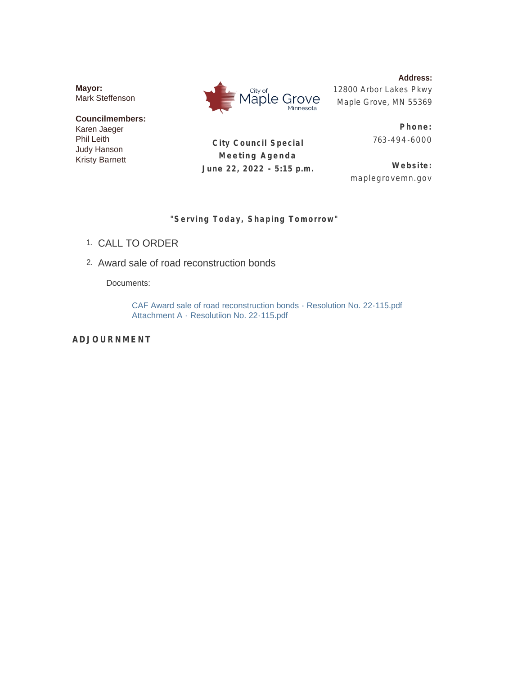**Mayor:** Mark Steffenson

**Councilmembers:** Karen Jaeger Phil Leith Judy Hanson Kristy Barnett

City of Maple Grove Minnesota

**City Council Special Meeting Agenda June 22, 2022 - 5:15 p.m.**

**Address:** 12800 Arbor Lakes Pkwy Maple Grove, MN 55369

> **Phone:** 763-494 -6000

**Website:** maplegrovemn.gov

**"Serving Today, Shaping Tomorrow"**

- CALL TO ORDER 1.
- Award sale of road reconstruction bonds 2.

Documents:

CAF Award sale of road reconstruction bonds - Resolution No. 22-115.pdf Attachment A - Resolutiion No. 22-115.pdf

**ADJOURNMENT**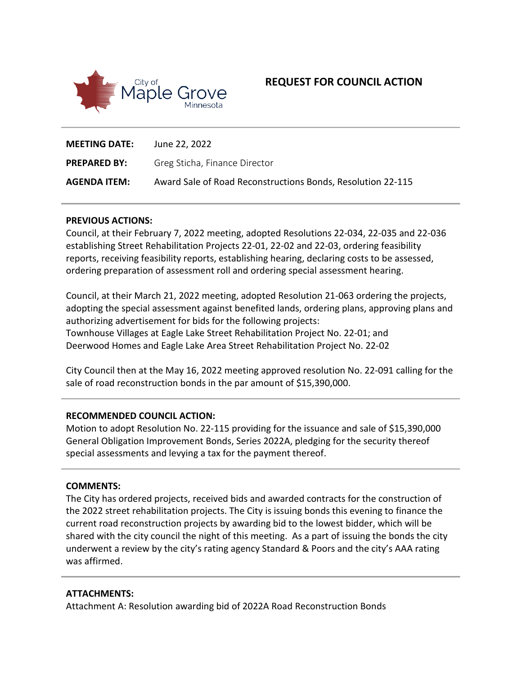

# **REQUEST FOR COUNCIL ACTION**

| <b>MEETING DATE:</b> | June 22, 2022                                               |
|----------------------|-------------------------------------------------------------|
| <b>PREPARED BY:</b>  | Greg Sticha, Finance Director                               |
| <b>AGENDA ITEM:</b>  | Award Sale of Road Reconstructions Bonds, Resolution 22-115 |

#### **PREVIOUS ACTIONS:**

Council, at their February 7, 2022 meeting, adopted Resolutions 22-034, 22-035 and 22-036 establishing Street Rehabilitation Projects 22-01, 22-02 and 22-03, ordering feasibility reports, receiving feasibility reports, establishing hearing, declaring costs to be assessed, ordering preparation of assessment roll and ordering special assessment hearing.

Council, at their March 21, 2022 meeting, adopted Resolution 21-063 ordering the projects, adopting the special assessment against benefited lands, ordering plans, approving plans and authorizing advertisement for bids for the following projects: Townhouse Villages at Eagle Lake Street Rehabilitation Project No. 22-01; and Deerwood Homes and Eagle Lake Area Street Rehabilitation Project No. 22-02

City Council then at the May 16, 2022 meeting approved resolution No. 22-091 calling for the sale of road reconstruction bonds in the par amount of \$15,390,000.

#### **RECOMMENDED COUNCIL ACTION:**

Motion to adopt Resolution No. 22-115 providing for the issuance and sale of \$15,390,000 General Obligation Improvement Bonds, Series 2022A, pledging for the security thereof special assessments and levying a tax for the payment thereof.

#### **COMMENTS:**

The City has ordered projects, received bids and awarded contracts for the construction of the 2022 street rehabilitation projects. The City is issuing bonds this evening to finance the current road reconstruction projects by awarding bid to the lowest bidder, which will be shared with the city council the night of this meeting. As a part of issuing the bonds the city underwent a review by the city's rating agency Standard & Poors and the city's AAA rating was affirmed.

#### **ATTACHMENTS:**

Attachment A: Resolution awarding bid of 2022A Road Reconstruction Bonds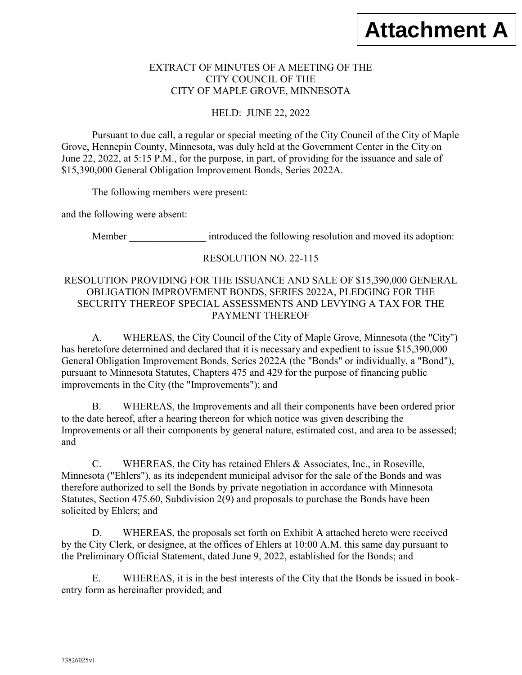## EXTRACT OF MINUTES OF A MEETING OF THE CITY COUNCIL OF THE CITY OF MAPLE GROVE, MINNESOTA

HELD: JUNE 22, 2022

Pursuant to due call, a regular or special meeting of the City Council of the City of Maple Grove, Hennepin County, Minnesota, was duly held at the Government Center in the City on June 22, 2022, at 5:15 P.M., for the purpose, in part, of providing for the issuance and sale of \$15,390,000 General Obligation Improvement Bonds, Series 2022A.

The following members were present:

and the following were absent:

Member **introduced** the following resolution and moved its adoption:

## RESOLUTION NO. 22-115

## RESOLUTION PROVIDING FOR THE ISSUANCE AND SALE OF \$15,390,000 GENERAL OBLIGATION IMPROVEMENT BONDS, SERIES 2022A, PLEDGING FOR THE SECURITY THEREOF SPECIAL ASSESSMENTS AND LEVYING A TAX FOR THE PAYMENT THEREOF

A. WHEREAS, the City Council of the City of Maple Grove, Minnesota (the "City") has heretofore determined and declared that it is necessary and expedient to issue \$15,390,000 General Obligation Improvement Bonds, Series 2022A (the "Bonds" or individually, a "Bond"), pursuant to Minnesota Statutes, Chapters 475 and 429 for the purpose of financing public improvements in the City (the "Improvements"); and

B. WHEREAS, the Improvements and all their components have been ordered prior to the date hereof, after a hearing thereon for which notice was given describing the Improvements or all their components by general nature, estimated cost, and area to be assessed; and

C. WHEREAS, the City has retained Ehlers & Associates, Inc., in Roseville, Minnesota ("Ehlers"), as its independent municipal advisor for the sale of the Bonds and was therefore authorized to sell the Bonds by private negotiation in accordance with Minnesota Statutes, Section 475.60, Subdivision 2(9) and proposals to purchase the Bonds have been solicited by Ehlers; and

D. WHEREAS, the proposals set forth on Exhibit A attached hereto were received by the City Clerk, or designee, at the offices of Ehlers at 10:00 A.M. this same day pursuant to the Preliminary Official Statement, dated June 9, 2022, established for the Bonds; and

E. WHEREAS, it is in the best interests of the City that the Bonds be issued in bookentry form as hereinafter provided; and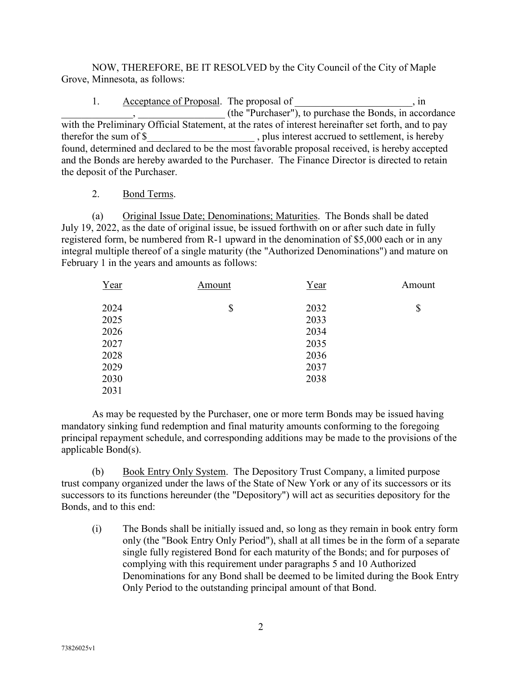NOW, THEREFORE, BE IT RESOLVED by the City Council of the City of Maple Grove, Minnesota, as follows:

1. Acceptance of Proposal. The proposal of  $\cdot$ , in \_\_\_\_\_\_\_\_\_\_\_\_\_\_, \_\_\_\_\_\_\_\_\_\_\_\_\_\_\_\_\_ (the "Purchaser"), to purchase the Bonds, in accordance with the Preliminary Official Statement, at the rates of interest hereinafter set forth, and to pay therefor the sum of \$ hereby, plus interest accrued to settlement, is hereby found, determined and declared to be the most favorable proposal received, is hereby accepted and the Bonds are hereby awarded to the Purchaser. The Finance Director is directed to retain the deposit of the Purchaser.

### 2. Bond Terms.

(a) Original Issue Date; Denominations; Maturities. The Bonds shall be dated July 19, 2022, as the date of original issue, be issued forthwith on or after such date in fully registered form, be numbered from R-1 upward in the denomination of \$5,000 each or in any integral multiple thereof of a single maturity (the "Authorized Denominations") and mature on February 1 in the years and amounts as follows:

| Year | Amount | Year | Amount |
|------|--------|------|--------|
| 2024 | \$     | 2032 | \$     |
| 2025 |        | 2033 |        |
| 2026 |        | 2034 |        |
| 2027 |        | 2035 |        |
| 2028 |        | 2036 |        |
| 2029 |        | 2037 |        |
| 2030 |        | 2038 |        |
| 2031 |        |      |        |

As may be requested by the Purchaser, one or more term Bonds may be issued having mandatory sinking fund redemption and final maturity amounts conforming to the foregoing principal repayment schedule, and corresponding additions may be made to the provisions of the applicable Bond(s).

(b) Book Entry Only System. The Depository Trust Company, a limited purpose trust company organized under the laws of the State of New York or any of its successors or its successors to its functions hereunder (the "Depository") will act as securities depository for the Bonds, and to this end:

(i) The Bonds shall be initially issued and, so long as they remain in book entry form only (the "Book Entry Only Period"), shall at all times be in the form of a separate single fully registered Bond for each maturity of the Bonds; and for purposes of complying with this requirement under paragraphs 5 and 10 Authorized Denominations for any Bond shall be deemed to be limited during the Book Entry Only Period to the outstanding principal amount of that Bond.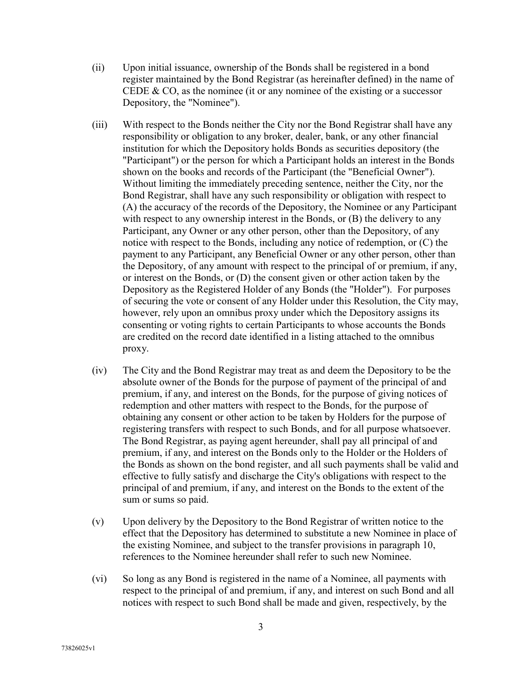- (ii) Upon initial issuance, ownership of the Bonds shall be registered in a bond register maintained by the Bond Registrar (as hereinafter defined) in the name of CEDE  $& CO$ , as the nominee (it or any nominee of the existing or a successor Depository, the "Nominee").
- (iii) With respect to the Bonds neither the City nor the Bond Registrar shall have any responsibility or obligation to any broker, dealer, bank, or any other financial institution for which the Depository holds Bonds as securities depository (the "Participant") or the person for which a Participant holds an interest in the Bonds shown on the books and records of the Participant (the "Beneficial Owner"). Without limiting the immediately preceding sentence, neither the City, nor the Bond Registrar, shall have any such responsibility or obligation with respect to (A) the accuracy of the records of the Depository, the Nominee or any Participant with respect to any ownership interest in the Bonds, or (B) the delivery to any Participant, any Owner or any other person, other than the Depository, of any notice with respect to the Bonds, including any notice of redemption, or (C) the payment to any Participant, any Beneficial Owner or any other person, other than the Depository, of any amount with respect to the principal of or premium, if any, or interest on the Bonds, or (D) the consent given or other action taken by the Depository as the Registered Holder of any Bonds (the "Holder"). For purposes of securing the vote or consent of any Holder under this Resolution, the City may, however, rely upon an omnibus proxy under which the Depository assigns its consenting or voting rights to certain Participants to whose accounts the Bonds are credited on the record date identified in a listing attached to the omnibus proxy.
- (iv) The City and the Bond Registrar may treat as and deem the Depository to be the absolute owner of the Bonds for the purpose of payment of the principal of and premium, if any, and interest on the Bonds, for the purpose of giving notices of redemption and other matters with respect to the Bonds, for the purpose of obtaining any consent or other action to be taken by Holders for the purpose of registering transfers with respect to such Bonds, and for all purpose whatsoever. The Bond Registrar, as paying agent hereunder, shall pay all principal of and premium, if any, and interest on the Bonds only to the Holder or the Holders of the Bonds as shown on the bond register, and all such payments shall be valid and effective to fully satisfy and discharge the City's obligations with respect to the principal of and premium, if any, and interest on the Bonds to the extent of the sum or sums so paid.
- (v) Upon delivery by the Depository to the Bond Registrar of written notice to the effect that the Depository has determined to substitute a new Nominee in place of the existing Nominee, and subject to the transfer provisions in paragraph 10, references to the Nominee hereunder shall refer to such new Nominee.
- (vi) So long as any Bond is registered in the name of a Nominee, all payments with respect to the principal of and premium, if any, and interest on such Bond and all notices with respect to such Bond shall be made and given, respectively, by the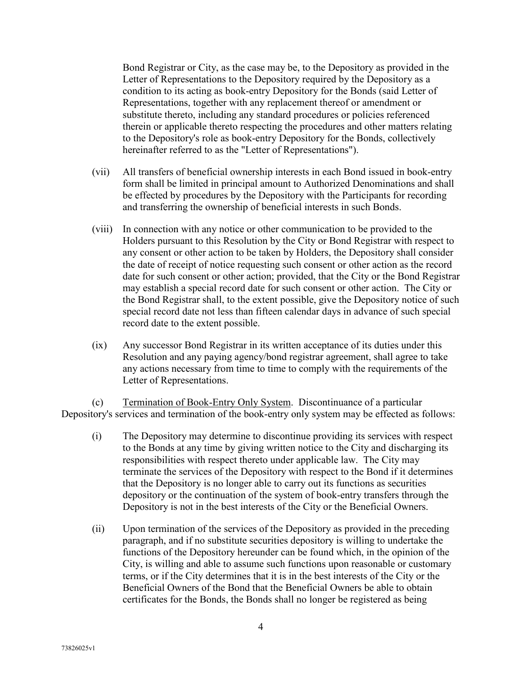Bond Registrar or City, as the case may be, to the Depository as provided in the Letter of Representations to the Depository required by the Depository as a condition to its acting as book-entry Depository for the Bonds (said Letter of Representations, together with any replacement thereof or amendment or substitute thereto, including any standard procedures or policies referenced therein or applicable thereto respecting the procedures and other matters relating to the Depository's role as book-entry Depository for the Bonds, collectively hereinafter referred to as the "Letter of Representations").

- (vii) All transfers of beneficial ownership interests in each Bond issued in book-entry form shall be limited in principal amount to Authorized Denominations and shall be effected by procedures by the Depository with the Participants for recording and transferring the ownership of beneficial interests in such Bonds.
- (viii) In connection with any notice or other communication to be provided to the Holders pursuant to this Resolution by the City or Bond Registrar with respect to any consent or other action to be taken by Holders, the Depository shall consider the date of receipt of notice requesting such consent or other action as the record date for such consent or other action; provided, that the City or the Bond Registrar may establish a special record date for such consent or other action. The City or the Bond Registrar shall, to the extent possible, give the Depository notice of such special record date not less than fifteen calendar days in advance of such special record date to the extent possible.
- (ix) Any successor Bond Registrar in its written acceptance of its duties under this Resolution and any paying agency/bond registrar agreement, shall agree to take any actions necessary from time to time to comply with the requirements of the Letter of Representations.

(c) Termination of Book-Entry Only System. Discontinuance of a particular Depository's services and termination of the book-entry only system may be effected as follows:

- (i) The Depository may determine to discontinue providing its services with respect to the Bonds at any time by giving written notice to the City and discharging its responsibilities with respect thereto under applicable law. The City may terminate the services of the Depository with respect to the Bond if it determines that the Depository is no longer able to carry out its functions as securities depository or the continuation of the system of book-entry transfers through the Depository is not in the best interests of the City or the Beneficial Owners.
- (ii) Upon termination of the services of the Depository as provided in the preceding paragraph, and if no substitute securities depository is willing to undertake the functions of the Depository hereunder can be found which, in the opinion of the City, is willing and able to assume such functions upon reasonable or customary terms, or if the City determines that it is in the best interests of the City or the Beneficial Owners of the Bond that the Beneficial Owners be able to obtain certificates for the Bonds, the Bonds shall no longer be registered as being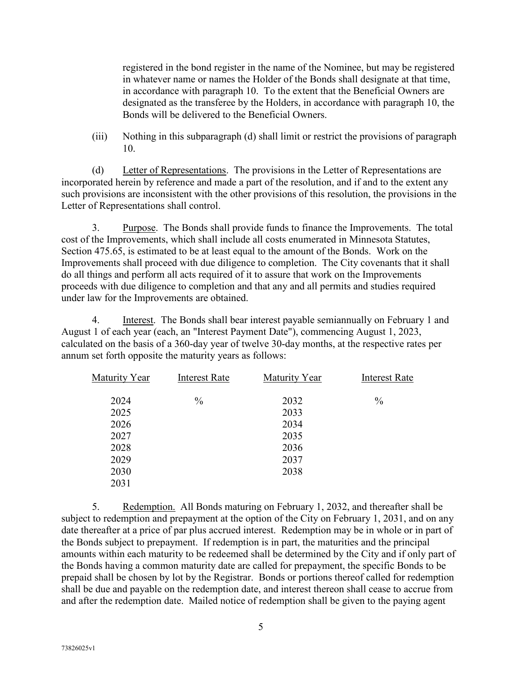registered in the bond register in the name of the Nominee, but may be registered in whatever name or names the Holder of the Bonds shall designate at that time, in accordance with paragraph 10. To the extent that the Beneficial Owners are designated as the transferee by the Holders, in accordance with paragraph 10, the Bonds will be delivered to the Beneficial Owners.

(iii) Nothing in this subparagraph (d) shall limit or restrict the provisions of paragraph 10.

(d) Letter of Representations. The provisions in the Letter of Representations are incorporated herein by reference and made a part of the resolution, and if and to the extent any such provisions are inconsistent with the other provisions of this resolution, the provisions in the Letter of Representations shall control.

3. Purpose. The Bonds shall provide funds to finance the Improvements. The total cost of the Improvements, which shall include all costs enumerated in Minnesota Statutes, Section 475.65, is estimated to be at least equal to the amount of the Bonds. Work on the Improvements shall proceed with due diligence to completion. The City covenants that it shall do all things and perform all acts required of it to assure that work on the Improvements proceeds with due diligence to completion and that any and all permits and studies required under law for the Improvements are obtained.

4. Interest. The Bonds shall bear interest payable semiannually on February 1 and August 1 of each year (each, an "Interest Payment Date"), commencing August 1, 2023, calculated on the basis of a 360-day year of twelve 30-day months, at the respective rates per annum set forth opposite the maturity years as follows:

| Maturity Year | <b>Interest Rate</b> | Maturity Year | <b>Interest Rate</b> |
|---------------|----------------------|---------------|----------------------|
| 2024          | $\frac{0}{0}$        | 2032          | $\frac{0}{0}$        |
| 2025          |                      | 2033          |                      |
| 2026          |                      | 2034          |                      |
| 2027          |                      | 2035          |                      |
| 2028          |                      | 2036          |                      |
| 2029          |                      | 2037          |                      |
| 2030          |                      | 2038          |                      |
| 2031          |                      |               |                      |

5. Redemption. All Bonds maturing on February 1, 2032, and thereafter shall be subject to redemption and prepayment at the option of the City on February 1, 2031, and on any date thereafter at a price of par plus accrued interest. Redemption may be in whole or in part of the Bonds subject to prepayment. If redemption is in part, the maturities and the principal amounts within each maturity to be redeemed shall be determined by the City and if only part of the Bonds having a common maturity date are called for prepayment, the specific Bonds to be prepaid shall be chosen by lot by the Registrar. Bonds or portions thereof called for redemption shall be due and payable on the redemption date, and interest thereon shall cease to accrue from and after the redemption date. Mailed notice of redemption shall be given to the paying agent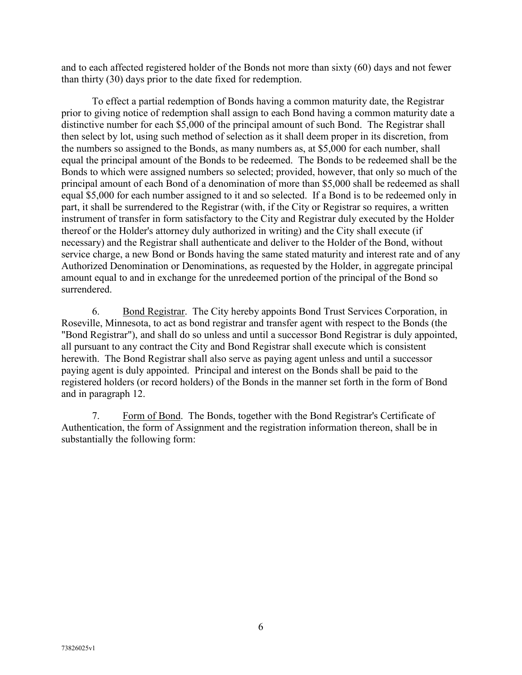and to each affected registered holder of the Bonds not more than sixty (60) days and not fewer than thirty (30) days prior to the date fixed for redemption.

To effect a partial redemption of Bonds having a common maturity date, the Registrar prior to giving notice of redemption shall assign to each Bond having a common maturity date a distinctive number for each \$5,000 of the principal amount of such Bond. The Registrar shall then select by lot, using such method of selection as it shall deem proper in its discretion, from the numbers so assigned to the Bonds, as many numbers as, at \$5,000 for each number, shall equal the principal amount of the Bonds to be redeemed. The Bonds to be redeemed shall be the Bonds to which were assigned numbers so selected; provided, however, that only so much of the principal amount of each Bond of a denomination of more than \$5,000 shall be redeemed as shall equal \$5,000 for each number assigned to it and so selected. If a Bond is to be redeemed only in part, it shall be surrendered to the Registrar (with, if the City or Registrar so requires, a written instrument of transfer in form satisfactory to the City and Registrar duly executed by the Holder thereof or the Holder's attorney duly authorized in writing) and the City shall execute (if necessary) and the Registrar shall authenticate and deliver to the Holder of the Bond, without service charge, a new Bond or Bonds having the same stated maturity and interest rate and of any Authorized Denomination or Denominations, as requested by the Holder, in aggregate principal amount equal to and in exchange for the unredeemed portion of the principal of the Bond so surrendered.

6. Bond Registrar. The City hereby appoints Bond Trust Services Corporation, in Roseville, Minnesota, to act as bond registrar and transfer agent with respect to the Bonds (the "Bond Registrar"), and shall do so unless and until a successor Bond Registrar is duly appointed, all pursuant to any contract the City and Bond Registrar shall execute which is consistent herewith. The Bond Registrar shall also serve as paying agent unless and until a successor paying agent is duly appointed. Principal and interest on the Bonds shall be paid to the registered holders (or record holders) of the Bonds in the manner set forth in the form of Bond and in paragraph 12.

7. Form of Bond. The Bonds, together with the Bond Registrar's Certificate of Authentication, the form of Assignment and the registration information thereon, shall be in substantially the following form: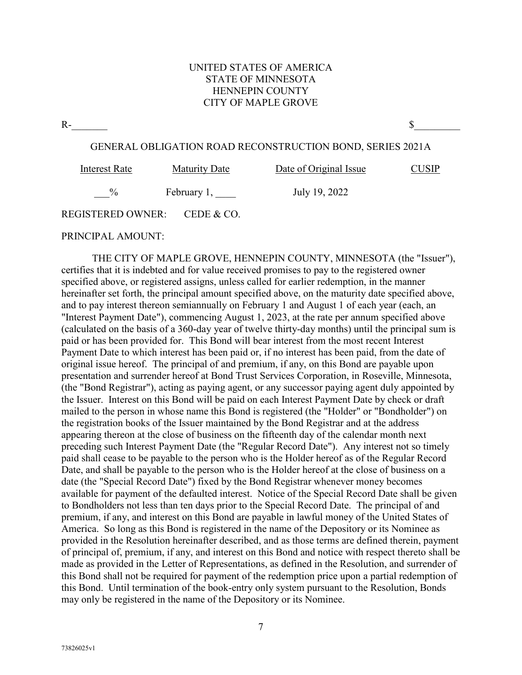### UNITED STATES OF AMERICA STATE OF MINNESOTA HENNEPIN COUNTY CITY OF MAPLE GROVE

 $R$ - $S$ 

#### GENERAL OBLIGATION ROAD RECONSTRUCTION BOND, SERIES 2021A

| Interest Rate     | <b>Maturity Date</b> | Date of Original Issue | CUSIP |
|-------------------|----------------------|------------------------|-------|
| $\frac{0}{0}$     | February 1,          | July 19, 2022          |       |
| REGISTERED OWNER: | CEDE & CO.           |                        |       |

PRINCIPAL AMOUNT:

THE CITY OF MAPLE GROVE, HENNEPIN COUNTY, MINNESOTA (the "Issuer"), certifies that it is indebted and for value received promises to pay to the registered owner specified above, or registered assigns, unless called for earlier redemption, in the manner hereinafter set forth, the principal amount specified above, on the maturity date specified above, and to pay interest thereon semiannually on February 1 and August 1 of each year (each, an "Interest Payment Date"), commencing August 1, 2023, at the rate per annum specified above (calculated on the basis of a 360-day year of twelve thirty-day months) until the principal sum is paid or has been provided for. This Bond will bear interest from the most recent Interest Payment Date to which interest has been paid or, if no interest has been paid, from the date of original issue hereof. The principal of and premium, if any, on this Bond are payable upon presentation and surrender hereof at Bond Trust Services Corporation, in Roseville, Minnesota, (the "Bond Registrar"), acting as paying agent, or any successor paying agent duly appointed by the Issuer. Interest on this Bond will be paid on each Interest Payment Date by check or draft mailed to the person in whose name this Bond is registered (the "Holder" or "Bondholder") on the registration books of the Issuer maintained by the Bond Registrar and at the address appearing thereon at the close of business on the fifteenth day of the calendar month next preceding such Interest Payment Date (the "Regular Record Date"). Any interest not so timely paid shall cease to be payable to the person who is the Holder hereof as of the Regular Record Date, and shall be payable to the person who is the Holder hereof at the close of business on a date (the "Special Record Date") fixed by the Bond Registrar whenever money becomes available for payment of the defaulted interest. Notice of the Special Record Date shall be given to Bondholders not less than ten days prior to the Special Record Date. The principal of and premium, if any, and interest on this Bond are payable in lawful money of the United States of America. So long as this Bond is registered in the name of the Depository or its Nominee as provided in the Resolution hereinafter described, and as those terms are defined therein, payment of principal of, premium, if any, and interest on this Bond and notice with respect thereto shall be made as provided in the Letter of Representations, as defined in the Resolution, and surrender of this Bond shall not be required for payment of the redemption price upon a partial redemption of this Bond. Until termination of the book-entry only system pursuant to the Resolution, Bonds may only be registered in the name of the Depository or its Nominee.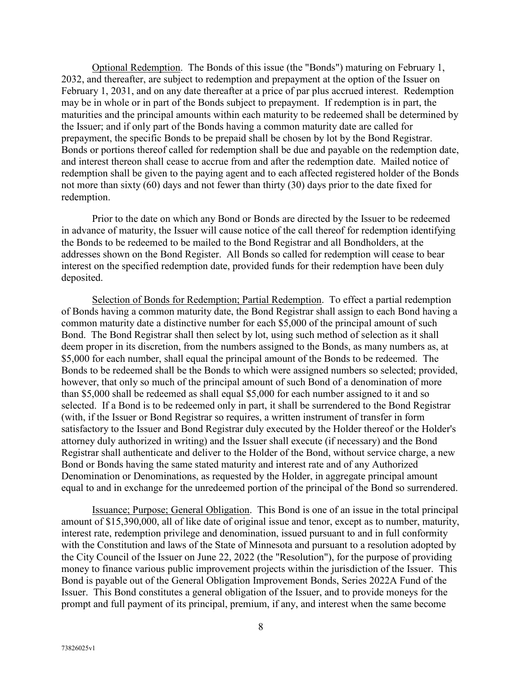Optional Redemption. The Bonds of this issue (the "Bonds") maturing on February 1, 2032, and thereafter, are subject to redemption and prepayment at the option of the Issuer on February 1, 2031, and on any date thereafter at a price of par plus accrued interest. Redemption may be in whole or in part of the Bonds subject to prepayment. If redemption is in part, the maturities and the principal amounts within each maturity to be redeemed shall be determined by the Issuer; and if only part of the Bonds having a common maturity date are called for prepayment, the specific Bonds to be prepaid shall be chosen by lot by the Bond Registrar. Bonds or portions thereof called for redemption shall be due and payable on the redemption date, and interest thereon shall cease to accrue from and after the redemption date. Mailed notice of redemption shall be given to the paying agent and to each affected registered holder of the Bonds not more than sixty (60) days and not fewer than thirty (30) days prior to the date fixed for redemption.

Prior to the date on which any Bond or Bonds are directed by the Issuer to be redeemed in advance of maturity, the Issuer will cause notice of the call thereof for redemption identifying the Bonds to be redeemed to be mailed to the Bond Registrar and all Bondholders, at the addresses shown on the Bond Register. All Bonds so called for redemption will cease to bear interest on the specified redemption date, provided funds for their redemption have been duly deposited.

Selection of Bonds for Redemption; Partial Redemption. To effect a partial redemption of Bonds having a common maturity date, the Bond Registrar shall assign to each Bond having a common maturity date a distinctive number for each \$5,000 of the principal amount of such Bond. The Bond Registrar shall then select by lot, using such method of selection as it shall deem proper in its discretion, from the numbers assigned to the Bonds, as many numbers as, at \$5,000 for each number, shall equal the principal amount of the Bonds to be redeemed. The Bonds to be redeemed shall be the Bonds to which were assigned numbers so selected; provided, however, that only so much of the principal amount of such Bond of a denomination of more than \$5,000 shall be redeemed as shall equal \$5,000 for each number assigned to it and so selected. If a Bond is to be redeemed only in part, it shall be surrendered to the Bond Registrar (with, if the Issuer or Bond Registrar so requires, a written instrument of transfer in form satisfactory to the Issuer and Bond Registrar duly executed by the Holder thereof or the Holder's attorney duly authorized in writing) and the Issuer shall execute (if necessary) and the Bond Registrar shall authenticate and deliver to the Holder of the Bond, without service charge, a new Bond or Bonds having the same stated maturity and interest rate and of any Authorized Denomination or Denominations, as requested by the Holder, in aggregate principal amount equal to and in exchange for the unredeemed portion of the principal of the Bond so surrendered.

Issuance; Purpose; General Obligation. This Bond is one of an issue in the total principal amount of \$15,390,000, all of like date of original issue and tenor, except as to number, maturity, interest rate, redemption privilege and denomination, issued pursuant to and in full conformity with the Constitution and laws of the State of Minnesota and pursuant to a resolution adopted by the City Council of the Issuer on June 22, 2022 (the "Resolution"), for the purpose of providing money to finance various public improvement projects within the jurisdiction of the Issuer. This Bond is payable out of the General Obligation Improvement Bonds, Series 2022A Fund of the Issuer. This Bond constitutes a general obligation of the Issuer, and to provide moneys for the prompt and full payment of its principal, premium, if any, and interest when the same become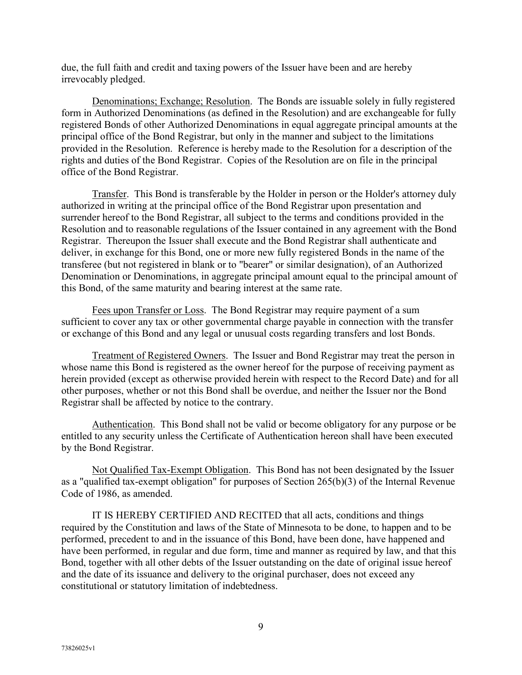due, the full faith and credit and taxing powers of the Issuer have been and are hereby irrevocably pledged.

Denominations; Exchange; Resolution. The Bonds are issuable solely in fully registered form in Authorized Denominations (as defined in the Resolution) and are exchangeable for fully registered Bonds of other Authorized Denominations in equal aggregate principal amounts at the principal office of the Bond Registrar, but only in the manner and subject to the limitations provided in the Resolution. Reference is hereby made to the Resolution for a description of the rights and duties of the Bond Registrar. Copies of the Resolution are on file in the principal office of the Bond Registrar.

Transfer. This Bond is transferable by the Holder in person or the Holder's attorney duly authorized in writing at the principal office of the Bond Registrar upon presentation and surrender hereof to the Bond Registrar, all subject to the terms and conditions provided in the Resolution and to reasonable regulations of the Issuer contained in any agreement with the Bond Registrar. Thereupon the Issuer shall execute and the Bond Registrar shall authenticate and deliver, in exchange for this Bond, one or more new fully registered Bonds in the name of the transferee (but not registered in blank or to "bearer" or similar designation), of an Authorized Denomination or Denominations, in aggregate principal amount equal to the principal amount of this Bond, of the same maturity and bearing interest at the same rate.

Fees upon Transfer or Loss. The Bond Registrar may require payment of a sum sufficient to cover any tax or other governmental charge payable in connection with the transfer or exchange of this Bond and any legal or unusual costs regarding transfers and lost Bonds.

Treatment of Registered Owners. The Issuer and Bond Registrar may treat the person in whose name this Bond is registered as the owner hereof for the purpose of receiving payment as herein provided (except as otherwise provided herein with respect to the Record Date) and for all other purposes, whether or not this Bond shall be overdue, and neither the Issuer nor the Bond Registrar shall be affected by notice to the contrary.

Authentication. This Bond shall not be valid or become obligatory for any purpose or be entitled to any security unless the Certificate of Authentication hereon shall have been executed by the Bond Registrar.

Not Qualified Tax-Exempt Obligation. This Bond has not been designated by the Issuer as a "qualified tax-exempt obligation" for purposes of Section 265(b)(3) of the Internal Revenue Code of 1986, as amended.

IT IS HEREBY CERTIFIED AND RECITED that all acts, conditions and things required by the Constitution and laws of the State of Minnesota to be done, to happen and to be performed, precedent to and in the issuance of this Bond, have been done, have happened and have been performed, in regular and due form, time and manner as required by law, and that this Bond, together with all other debts of the Issuer outstanding on the date of original issue hereof and the date of its issuance and delivery to the original purchaser, does not exceed any constitutional or statutory limitation of indebtedness.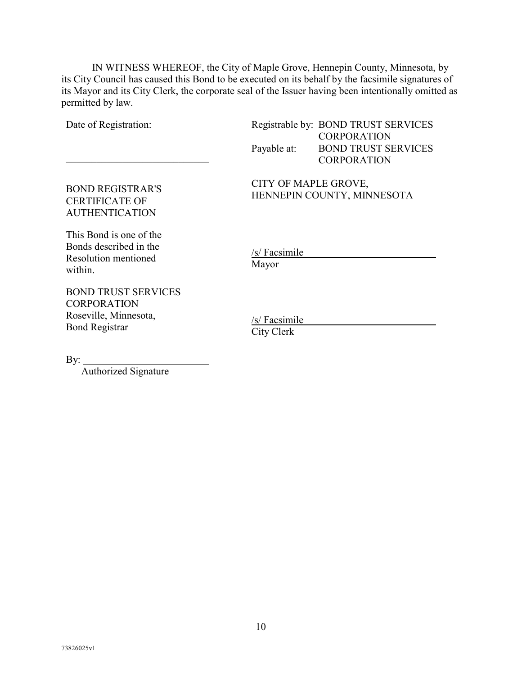IN WITNESS WHEREOF, the City of Maple Grove, Hennepin County, Minnesota, by its City Council has caused this Bond to be executed on its behalf by the facsimile signatures of its Mayor and its City Clerk, the corporate seal of the Issuer having been intentionally omitted as permitted by law.

Date of Registration:

\_\_\_\_\_\_\_\_\_\_\_\_\_\_\_\_\_\_\_\_\_\_\_\_\_\_\_\_

Registrable by: BOND TRUST SERVICES **CORPORATION** Payable at: BOND TRUST SERVICES **CORPORATION** 

CITY OF MAPLE GROVE, HENNEPIN COUNTY, MINNESOTA

This Bond is one of the Bonds described in the Resolution mentioned within.

BOND REGISTRAR'S CERTIFICATE OF AUTHENTICATION

BOND TRUST SERVICES **CORPORATION** Roseville, Minnesota, Bond Registrar

/s/ Facsimile Mayor

/s/ Facsimile City Clerk

 $By:$ 

Authorized Signature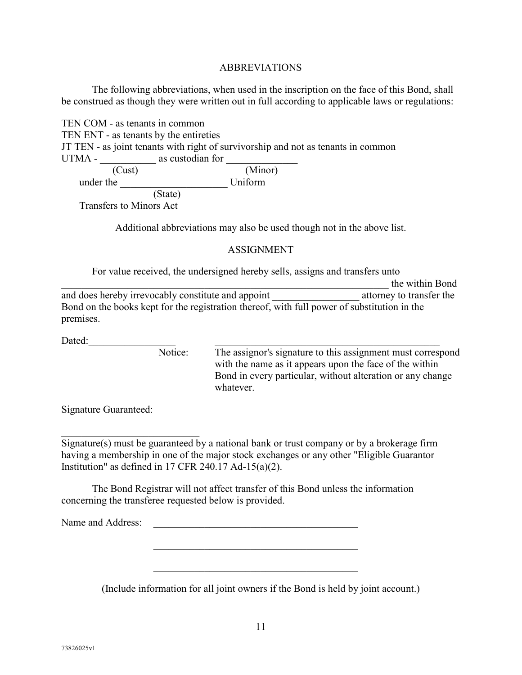### ABBREVIATIONS

The following abbreviations, when used in the inscription on the face of this Bond, shall be construed as though they were written out in full according to applicable laws or regulations:

TEN COM - as tenants in common TEN ENT - as tenants by the entireties JT TEN - as joint tenants with right of survivorship and not as tenants in common UTMA - \_\_\_\_\_\_\_\_\_\_\_ as custodian for \_\_\_\_\_\_\_\_\_\_\_\_\_\_ (Cust) (Minor)<br>
ue Uniform under the (State)

Transfers to Minors Act

Additional abbreviations may also be used though not in the above list.

#### ASSIGNMENT

For value received, the undersigned hereby sells, assigns and transfers unto

the within Bond and does hereby irrevocably constitute and appoint attorney to transfer the Bond on the books kept for the registration thereof, with full power of substitution in the premises.

Dated:  $\Box$ 

Notice: The assignor's signature to this assignment must correspond with the name as it appears upon the face of the within Bond in every particular, without alteration or any change whatever.

Signature Guaranteed:

\_\_\_\_\_\_\_\_\_\_\_\_\_\_\_\_\_\_\_\_\_\_\_\_\_\_\_

Signature(s) must be guaranteed by a national bank or trust company or by a brokerage firm having a membership in one of the major stock exchanges or any other "Eligible Guarantor Institution" as defined in 17 CFR 240.17 Ad-15(a)(2).

The Bond Registrar will not affect transfer of this Bond unless the information concerning the transferee requested below is provided.

Name and Address: \_\_\_\_\_\_\_\_\_\_\_\_\_\_\_\_\_\_\_\_\_\_\_\_\_\_\_\_\_\_\_\_\_\_\_\_\_\_\_\_

(Include information for all joint owners if the Bond is held by joint account.)

\_\_\_\_\_\_\_\_\_\_\_\_\_\_\_\_\_\_\_\_\_\_\_\_\_\_\_\_\_\_\_\_\_\_\_\_\_\_\_\_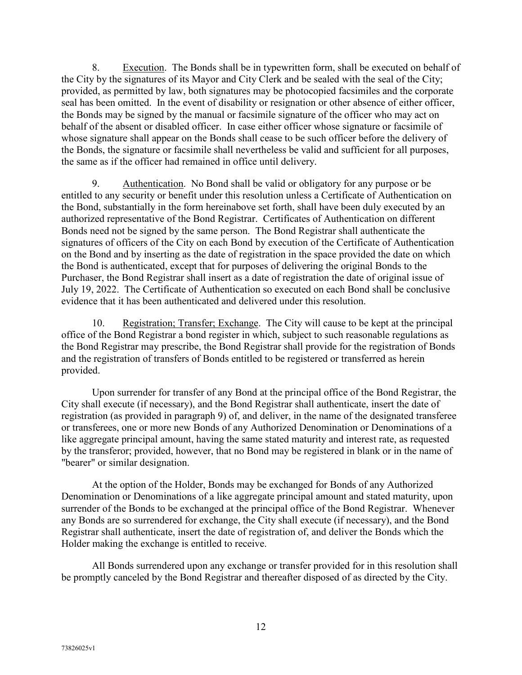8. Execution. The Bonds shall be in typewritten form, shall be executed on behalf of the City by the signatures of its Mayor and City Clerk and be sealed with the seal of the City; provided, as permitted by law, both signatures may be photocopied facsimiles and the corporate seal has been omitted. In the event of disability or resignation or other absence of either officer, the Bonds may be signed by the manual or facsimile signature of the officer who may act on behalf of the absent or disabled officer. In case either officer whose signature or facsimile of whose signature shall appear on the Bonds shall cease to be such officer before the delivery of the Bonds, the signature or facsimile shall nevertheless be valid and sufficient for all purposes, the same as if the officer had remained in office until delivery.

9. Authentication. No Bond shall be valid or obligatory for any purpose or be entitled to any security or benefit under this resolution unless a Certificate of Authentication on the Bond, substantially in the form hereinabove set forth, shall have been duly executed by an authorized representative of the Bond Registrar. Certificates of Authentication on different Bonds need not be signed by the same person. The Bond Registrar shall authenticate the signatures of officers of the City on each Bond by execution of the Certificate of Authentication on the Bond and by inserting as the date of registration in the space provided the date on which the Bond is authenticated, except that for purposes of delivering the original Bonds to the Purchaser, the Bond Registrar shall insert as a date of registration the date of original issue of July 19, 2022. The Certificate of Authentication so executed on each Bond shall be conclusive evidence that it has been authenticated and delivered under this resolution.

10. Registration; Transfer; Exchange. The City will cause to be kept at the principal office of the Bond Registrar a bond register in which, subject to such reasonable regulations as the Bond Registrar may prescribe, the Bond Registrar shall provide for the registration of Bonds and the registration of transfers of Bonds entitled to be registered or transferred as herein provided.

Upon surrender for transfer of any Bond at the principal office of the Bond Registrar, the City shall execute (if necessary), and the Bond Registrar shall authenticate, insert the date of registration (as provided in paragraph 9) of, and deliver, in the name of the designated transferee or transferees, one or more new Bonds of any Authorized Denomination or Denominations of a like aggregate principal amount, having the same stated maturity and interest rate, as requested by the transferor; provided, however, that no Bond may be registered in blank or in the name of "bearer" or similar designation.

At the option of the Holder, Bonds may be exchanged for Bonds of any Authorized Denomination or Denominations of a like aggregate principal amount and stated maturity, upon surrender of the Bonds to be exchanged at the principal office of the Bond Registrar. Whenever any Bonds are so surrendered for exchange, the City shall execute (if necessary), and the Bond Registrar shall authenticate, insert the date of registration of, and deliver the Bonds which the Holder making the exchange is entitled to receive.

All Bonds surrendered upon any exchange or transfer provided for in this resolution shall be promptly canceled by the Bond Registrar and thereafter disposed of as directed by the City.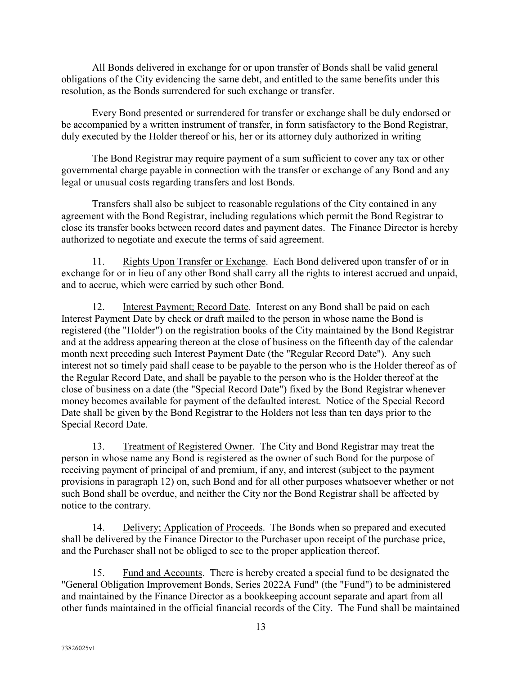All Bonds delivered in exchange for or upon transfer of Bonds shall be valid general obligations of the City evidencing the same debt, and entitled to the same benefits under this resolution, as the Bonds surrendered for such exchange or transfer.

Every Bond presented or surrendered for transfer or exchange shall be duly endorsed or be accompanied by a written instrument of transfer, in form satisfactory to the Bond Registrar, duly executed by the Holder thereof or his, her or its attorney duly authorized in writing

The Bond Registrar may require payment of a sum sufficient to cover any tax or other governmental charge payable in connection with the transfer or exchange of any Bond and any legal or unusual costs regarding transfers and lost Bonds.

Transfers shall also be subject to reasonable regulations of the City contained in any agreement with the Bond Registrar, including regulations which permit the Bond Registrar to close its transfer books between record dates and payment dates. The Finance Director is hereby authorized to negotiate and execute the terms of said agreement.

11. Rights Upon Transfer or Exchange. Each Bond delivered upon transfer of or in exchange for or in lieu of any other Bond shall carry all the rights to interest accrued and unpaid, and to accrue, which were carried by such other Bond.

12. Interest Payment; Record Date. Interest on any Bond shall be paid on each Interest Payment Date by check or draft mailed to the person in whose name the Bond is registered (the "Holder") on the registration books of the City maintained by the Bond Registrar and at the address appearing thereon at the close of business on the fifteenth day of the calendar month next preceding such Interest Payment Date (the "Regular Record Date"). Any such interest not so timely paid shall cease to be payable to the person who is the Holder thereof as of the Regular Record Date, and shall be payable to the person who is the Holder thereof at the close of business on a date (the "Special Record Date") fixed by the Bond Registrar whenever money becomes available for payment of the defaulted interest. Notice of the Special Record Date shall be given by the Bond Registrar to the Holders not less than ten days prior to the Special Record Date.

13. Treatment of Registered Owner. The City and Bond Registrar may treat the person in whose name any Bond is registered as the owner of such Bond for the purpose of receiving payment of principal of and premium, if any, and interest (subject to the payment provisions in paragraph 12) on, such Bond and for all other purposes whatsoever whether or not such Bond shall be overdue, and neither the City nor the Bond Registrar shall be affected by notice to the contrary.

14. Delivery; Application of Proceeds. The Bonds when so prepared and executed shall be delivered by the Finance Director to the Purchaser upon receipt of the purchase price, and the Purchaser shall not be obliged to see to the proper application thereof.

15. Fund and Accounts. There is hereby created a special fund to be designated the "General Obligation Improvement Bonds, Series 2022A Fund" (the "Fund") to be administered and maintained by the Finance Director as a bookkeeping account separate and apart from all other funds maintained in the official financial records of the City. The Fund shall be maintained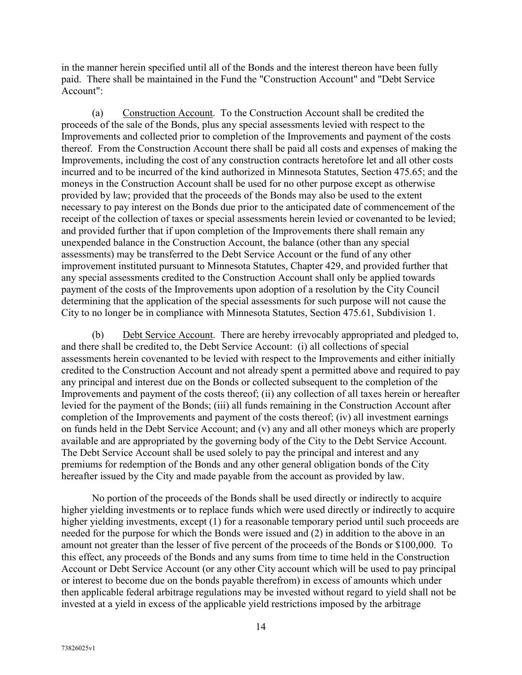in the manner herein specified until all of the Bonds and the interest thereon have been fully paid. There shall be maintained in the Fund the "Construction Account" and "Debt Service Account":

(a) Construction Account. To the Construction Account shall be credited the proceeds of the sale of the Bonds, plus any special assessments levied with respect to the Improvements and collected prior to completion of the Improvements and payment of the costs thereof. From the Construction Account there shall be paid all costs and expenses of making the Improvements, including the cost of any construction contracts heretofore let and all other costs incurred and to be incurred of the kind authorized in Minnesota Statutes, Section 475.65; and the moneys in the Construction Account shall be used for no other purpose except as otherwise provided by law; provided that the proceeds of the Bonds may also be used to the extent necessary to pay interest on the Bonds due prior to the anticipated date of commencement of the receipt of the collection of taxes or special assessments herein levied or covenanted to be levied; and provided further that if upon completion of the Improvements there shall remain any unexpended balance in the Construction Account, the balance (other than any special assessments) may be transferred to the Debt Service Account or the fund of any other improvement instituted pursuant to Minnesota Statutes, Chapter 429, and provided further that any special assessments credited to the Construction Account shall only be applied towards payment of the costs of the Improvements upon adoption of a resolution by the City Council determining that the application of the special assessments for such purpose will not cause the City to no longer be in compliance with Minnesota Statutes, Section 475.61, Subdivision 1.

(b) Debt Service Account. There are hereby irrevocably appropriated and pledged to, and there shall be credited to, the Debt Service Account: (i) all collections of special assessments herein covenanted to be levied with respect to the Improvements and either initially credited to the Construction Account and not already spent a permitted above and required to pay any principal and interest due on the Bonds or collected subsequent to the completion of the Improvements and payment of the costs thereof; (ii) any collection of all taxes herein or hereafter levied for the payment of the Bonds; (iii) all funds remaining in the Construction Account after completion of the Improvements and payment of the costs thereof; (iv) all investment earnings on funds held in the Debt Service Account; and (v) any and all other moneys which are properly available and are appropriated by the governing body of the City to the Debt Service Account. The Debt Service Account shall be used solely to pay the principal and interest and any premiums for redemption of the Bonds and any other general obligation bonds of the City hereafter issued by the City and made payable from the account as provided by law.

No portion of the proceeds of the Bonds shall be used directly or indirectly to acquire higher yielding investments or to replace funds which were used directly or indirectly to acquire higher yielding investments, except (1) for a reasonable temporary period until such proceeds are needed for the purpose for which the Bonds were issued and (2) in addition to the above in an amount not greater than the lesser of five percent of the proceeds of the Bonds or \$100,000. To this effect, any proceeds of the Bonds and any sums from time to time held in the Construction Account or Debt Service Account (or any other City account which will be used to pay principal or interest to become due on the bonds payable therefrom) in excess of amounts which under then applicable federal arbitrage regulations may be invested without regard to yield shall not be invested at a yield in excess of the applicable yield restrictions imposed by the arbitrage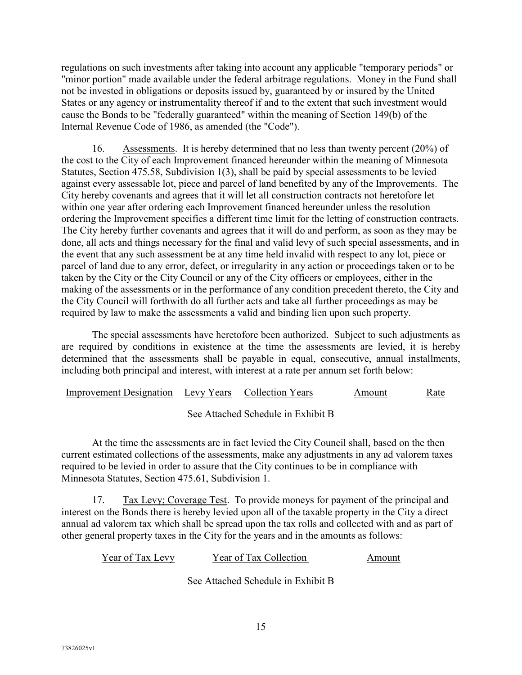regulations on such investments after taking into account any applicable "temporary periods" or "minor portion" made available under the federal arbitrage regulations. Money in the Fund shall not be invested in obligations or deposits issued by, guaranteed by or insured by the United States or any agency or instrumentality thereof if and to the extent that such investment would cause the Bonds to be "federally guaranteed" within the meaning of Section 149(b) of the Internal Revenue Code of 1986, as amended (the "Code").

16. Assessments. It is hereby determined that no less than twenty percent (20%) of the cost to the City of each Improvement financed hereunder within the meaning of Minnesota Statutes, Section 475.58, Subdivision 1(3), shall be paid by special assessments to be levied against every assessable lot, piece and parcel of land benefited by any of the Improvements. The City hereby covenants and agrees that it will let all construction contracts not heretofore let within one year after ordering each Improvement financed hereunder unless the resolution ordering the Improvement specifies a different time limit for the letting of construction contracts. The City hereby further covenants and agrees that it will do and perform, as soon as they may be done, all acts and things necessary for the final and valid levy of such special assessments, and in the event that any such assessment be at any time held invalid with respect to any lot, piece or parcel of land due to any error, defect, or irregularity in any action or proceedings taken or to be taken by the City or the City Council or any of the City officers or employees, either in the making of the assessments or in the performance of any condition precedent thereto, the City and the City Council will forthwith do all further acts and take all further proceedings as may be required by law to make the assessments a valid and binding lien upon such property.

The special assessments have heretofore been authorized. Subject to such adjustments as are required by conditions in existence at the time the assessments are levied, it is hereby determined that the assessments shall be payable in equal, consecutive, annual installments, including both principal and interest, with interest at a rate per annum set forth below:

| Improvement Designation Levy Years Collection Years |  | Amount | Rate |
|-----------------------------------------------------|--|--------|------|
|                                                     |  |        |      |

See Attached Schedule in Exhibit B

At the time the assessments are in fact levied the City Council shall, based on the then current estimated collections of the assessments, make any adjustments in any ad valorem taxes required to be levied in order to assure that the City continues to be in compliance with Minnesota Statutes, Section 475.61, Subdivision 1.

17. Tax Levy; Coverage Test. To provide moneys for payment of the principal and interest on the Bonds there is hereby levied upon all of the taxable property in the City a direct annual ad valorem tax which shall be spread upon the tax rolls and collected with and as part of other general property taxes in the City for the years and in the amounts as follows:

| Year of Tax Levy | Year of Tax Collection | Amount |
|------------------|------------------------|--------|
|------------------|------------------------|--------|

See Attached Schedule in Exhibit B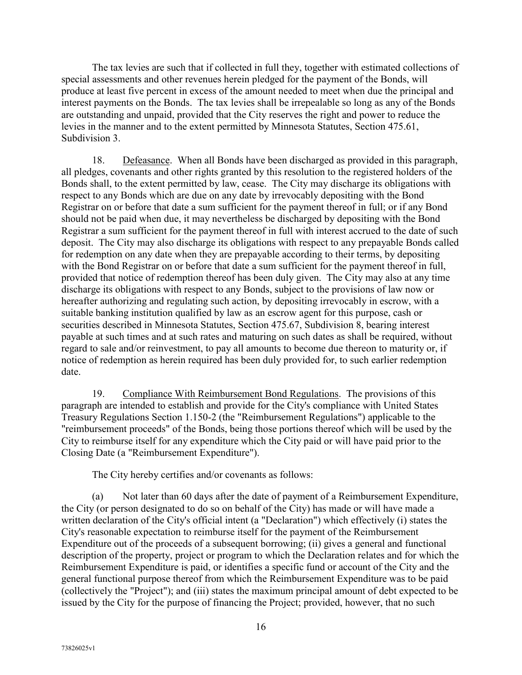The tax levies are such that if collected in full they, together with estimated collections of special assessments and other revenues herein pledged for the payment of the Bonds, will produce at least five percent in excess of the amount needed to meet when due the principal and interest payments on the Bonds. The tax levies shall be irrepealable so long as any of the Bonds are outstanding and unpaid, provided that the City reserves the right and power to reduce the levies in the manner and to the extent permitted by Minnesota Statutes, Section 475.61, Subdivision 3.

18. Defeasance. When all Bonds have been discharged as provided in this paragraph, all pledges, covenants and other rights granted by this resolution to the registered holders of the Bonds shall, to the extent permitted by law, cease. The City may discharge its obligations with respect to any Bonds which are due on any date by irrevocably depositing with the Bond Registrar on or before that date a sum sufficient for the payment thereof in full; or if any Bond should not be paid when due, it may nevertheless be discharged by depositing with the Bond Registrar a sum sufficient for the payment thereof in full with interest accrued to the date of such deposit. The City may also discharge its obligations with respect to any prepayable Bonds called for redemption on any date when they are prepayable according to their terms, by depositing with the Bond Registrar on or before that date a sum sufficient for the payment thereof in full, provided that notice of redemption thereof has been duly given. The City may also at any time discharge its obligations with respect to any Bonds, subject to the provisions of law now or hereafter authorizing and regulating such action, by depositing irrevocably in escrow, with a suitable banking institution qualified by law as an escrow agent for this purpose, cash or securities described in Minnesota Statutes, Section 475.67, Subdivision 8, bearing interest payable at such times and at such rates and maturing on such dates as shall be required, without regard to sale and/or reinvestment, to pay all amounts to become due thereon to maturity or, if notice of redemption as herein required has been duly provided for, to such earlier redemption date.

19. Compliance With Reimbursement Bond Regulations. The provisions of this paragraph are intended to establish and provide for the City's compliance with United States Treasury Regulations Section 1.150-2 (the "Reimbursement Regulations") applicable to the "reimbursement proceeds" of the Bonds, being those portions thereof which will be used by the City to reimburse itself for any expenditure which the City paid or will have paid prior to the Closing Date (a "Reimbursement Expenditure").

The City hereby certifies and/or covenants as follows:

(a) Not later than 60 days after the date of payment of a Reimbursement Expenditure, the City (or person designated to do so on behalf of the City) has made or will have made a written declaration of the City's official intent (a "Declaration") which effectively (i) states the City's reasonable expectation to reimburse itself for the payment of the Reimbursement Expenditure out of the proceeds of a subsequent borrowing; (ii) gives a general and functional description of the property, project or program to which the Declaration relates and for which the Reimbursement Expenditure is paid, or identifies a specific fund or account of the City and the general functional purpose thereof from which the Reimbursement Expenditure was to be paid (collectively the "Project"); and (iii) states the maximum principal amount of debt expected to be issued by the City for the purpose of financing the Project; provided, however, that no such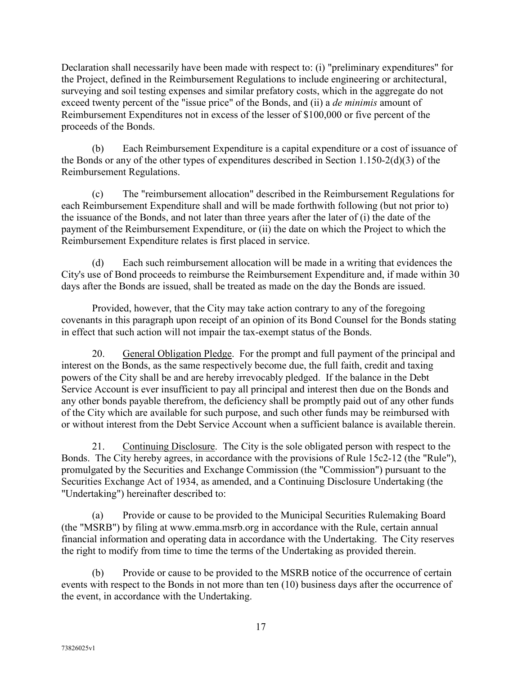Declaration shall necessarily have been made with respect to: (i) "preliminary expenditures" for the Project, defined in the Reimbursement Regulations to include engineering or architectural, surveying and soil testing expenses and similar prefatory costs, which in the aggregate do not exceed twenty percent of the "issue price" of the Bonds, and (ii) a *de minimis* amount of Reimbursement Expenditures not in excess of the lesser of \$100,000 or five percent of the proceeds of the Bonds.

(b) Each Reimbursement Expenditure is a capital expenditure or a cost of issuance of the Bonds or any of the other types of expenditures described in Section 1.150-2(d)(3) of the Reimbursement Regulations.

(c) The "reimbursement allocation" described in the Reimbursement Regulations for each Reimbursement Expenditure shall and will be made forthwith following (but not prior to) the issuance of the Bonds, and not later than three years after the later of (i) the date of the payment of the Reimbursement Expenditure, or (ii) the date on which the Project to which the Reimbursement Expenditure relates is first placed in service.

(d) Each such reimbursement allocation will be made in a writing that evidences the City's use of Bond proceeds to reimburse the Reimbursement Expenditure and, if made within 30 days after the Bonds are issued, shall be treated as made on the day the Bonds are issued.

Provided, however, that the City may take action contrary to any of the foregoing covenants in this paragraph upon receipt of an opinion of its Bond Counsel for the Bonds stating in effect that such action will not impair the tax-exempt status of the Bonds.

20. General Obligation Pledge. For the prompt and full payment of the principal and interest on the Bonds, as the same respectively become due, the full faith, credit and taxing powers of the City shall be and are hereby irrevocably pledged. If the balance in the Debt Service Account is ever insufficient to pay all principal and interest then due on the Bonds and any other bonds payable therefrom, the deficiency shall be promptly paid out of any other funds of the City which are available for such purpose, and such other funds may be reimbursed with or without interest from the Debt Service Account when a sufficient balance is available therein.

21. Continuing Disclosure. The City is the sole obligated person with respect to the Bonds. The City hereby agrees, in accordance with the provisions of Rule 15c2-12 (the "Rule"), promulgated by the Securities and Exchange Commission (the "Commission") pursuant to the Securities Exchange Act of 1934, as amended, and a Continuing Disclosure Undertaking (the "Undertaking") hereinafter described to:

(a) Provide or cause to be provided to the Municipal Securities Rulemaking Board (the "MSRB") by filing at www.emma.msrb.org in accordance with the Rule, certain annual financial information and operating data in accordance with the Undertaking. The City reserves the right to modify from time to time the terms of the Undertaking as provided therein.

(b) Provide or cause to be provided to the MSRB notice of the occurrence of certain events with respect to the Bonds in not more than ten (10) business days after the occurrence of the event, in accordance with the Undertaking.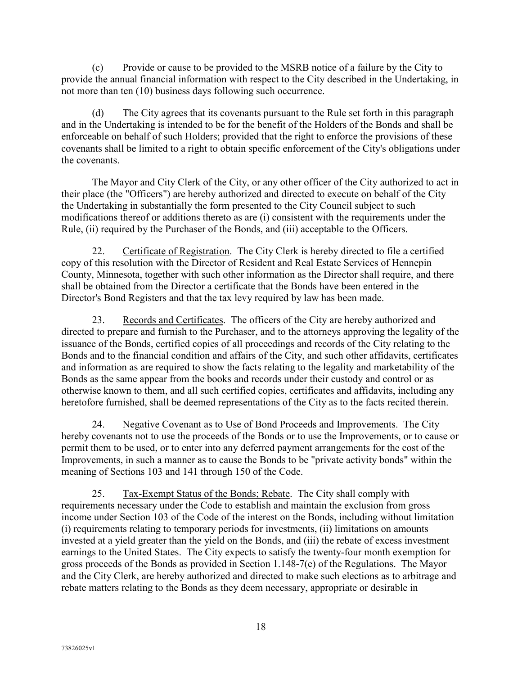(c) Provide or cause to be provided to the MSRB notice of a failure by the City to provide the annual financial information with respect to the City described in the Undertaking, in not more than ten (10) business days following such occurrence.

(d) The City agrees that its covenants pursuant to the Rule set forth in this paragraph and in the Undertaking is intended to be for the benefit of the Holders of the Bonds and shall be enforceable on behalf of such Holders; provided that the right to enforce the provisions of these covenants shall be limited to a right to obtain specific enforcement of the City's obligations under the covenants.

The Mayor and City Clerk of the City, or any other officer of the City authorized to act in their place (the "Officers") are hereby authorized and directed to execute on behalf of the City the Undertaking in substantially the form presented to the City Council subject to such modifications thereof or additions thereto as are (i) consistent with the requirements under the Rule, (ii) required by the Purchaser of the Bonds, and (iii) acceptable to the Officers.

22. Certificate of Registration. The City Clerk is hereby directed to file a certified copy of this resolution with the Director of Resident and Real Estate Services of Hennepin County, Minnesota, together with such other information as the Director shall require, and there shall be obtained from the Director a certificate that the Bonds have been entered in the Director's Bond Registers and that the tax levy required by law has been made.

23. Records and Certificates. The officers of the City are hereby authorized and directed to prepare and furnish to the Purchaser, and to the attorneys approving the legality of the issuance of the Bonds, certified copies of all proceedings and records of the City relating to the Bonds and to the financial condition and affairs of the City, and such other affidavits, certificates and information as are required to show the facts relating to the legality and marketability of the Bonds as the same appear from the books and records under their custody and control or as otherwise known to them, and all such certified copies, certificates and affidavits, including any heretofore furnished, shall be deemed representations of the City as to the facts recited therein.

24. Negative Covenant as to Use of Bond Proceeds and Improvements. The City hereby covenants not to use the proceeds of the Bonds or to use the Improvements, or to cause or permit them to be used, or to enter into any deferred payment arrangements for the cost of the Improvements, in such a manner as to cause the Bonds to be "private activity bonds" within the meaning of Sections 103 and 141 through 150 of the Code.

25. Tax-Exempt Status of the Bonds; Rebate. The City shall comply with requirements necessary under the Code to establish and maintain the exclusion from gross income under Section 103 of the Code of the interest on the Bonds, including without limitation (i) requirements relating to temporary periods for investments, (ii) limitations on amounts invested at a yield greater than the yield on the Bonds, and (iii) the rebate of excess investment earnings to the United States. The City expects to satisfy the twenty-four month exemption for gross proceeds of the Bonds as provided in Section 1.148-7(e) of the Regulations. The Mayor and the City Clerk, are hereby authorized and directed to make such elections as to arbitrage and rebate matters relating to the Bonds as they deem necessary, appropriate or desirable in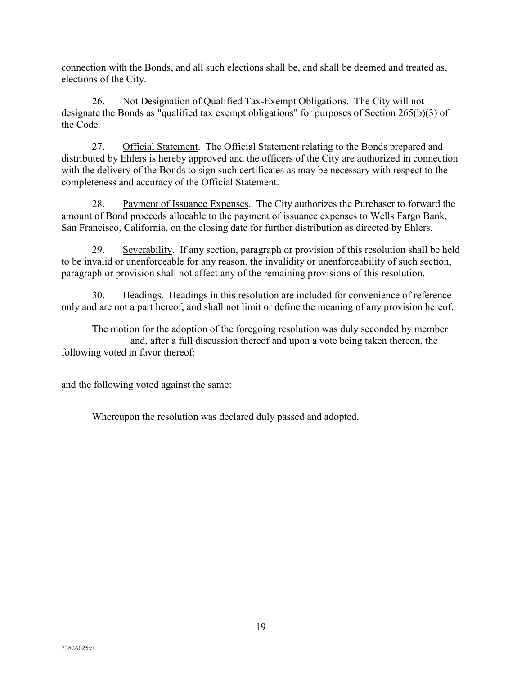connection with the Bonds, and all such elections shall be, and shall be deemed and treated as, elections of the City.

26. Not Designation of Qualified Tax-Exempt Obligations. The City will not designate the Bonds as "qualified tax exempt obligations" for purposes of Section 265(b)(3) of the Code.

27. Official Statement. The Official Statement relating to the Bonds prepared and distributed by Ehlers is hereby approved and the officers of the City are authorized in connection with the delivery of the Bonds to sign such certificates as may be necessary with respect to the completeness and accuracy of the Official Statement.

28. Payment of Issuance Expenses. The City authorizes the Purchaser to forward the amount of Bond proceeds allocable to the payment of issuance expenses to Wells Fargo Bank, San Francisco, California, on the closing date for further distribution as directed by Ehlers.

29. Severability. If any section, paragraph or provision of this resolution shall be held to be invalid or unenforceable for any reason, the invalidity or unenforceability of such section, paragraph or provision shall not affect any of the remaining provisions of this resolution.

30. Headings. Headings in this resolution are included for convenience of reference only and are not a part hereof, and shall not limit or define the meaning of any provision hereof.

The motion for the adoption of the foregoing resolution was duly seconded by member and, after a full discussion thereof and upon a vote being taken thereon, the following voted in favor thereof:

and the following voted against the same:

Whereupon the resolution was declared duly passed and adopted.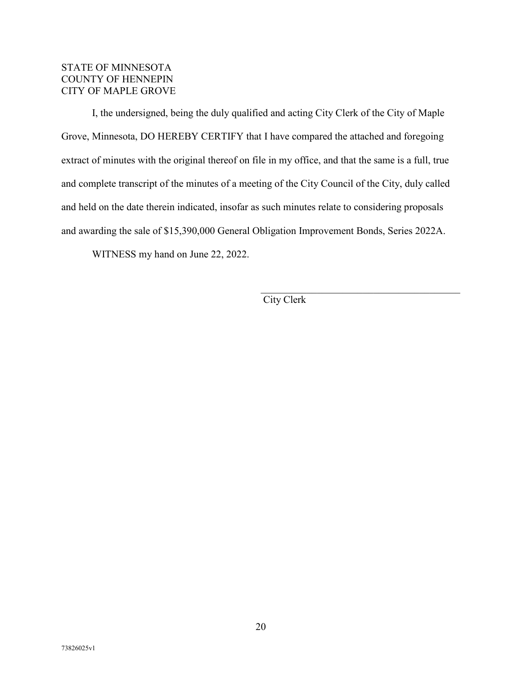## STATE OF MINNESOTA COUNTY OF HENNEPIN CITY OF MAPLE GROVE

I, the undersigned, being the duly qualified and acting City Clerk of the City of Maple Grove, Minnesota, DO HEREBY CERTIFY that I have compared the attached and foregoing extract of minutes with the original thereof on file in my office, and that the same is a full, true and complete transcript of the minutes of a meeting of the City Council of the City, duly called and held on the date therein indicated, insofar as such minutes relate to considering proposals and awarding the sale of \$15,390,000 General Obligation Improvement Bonds, Series 2022A.

WITNESS my hand on June 22, 2022.

City Clerk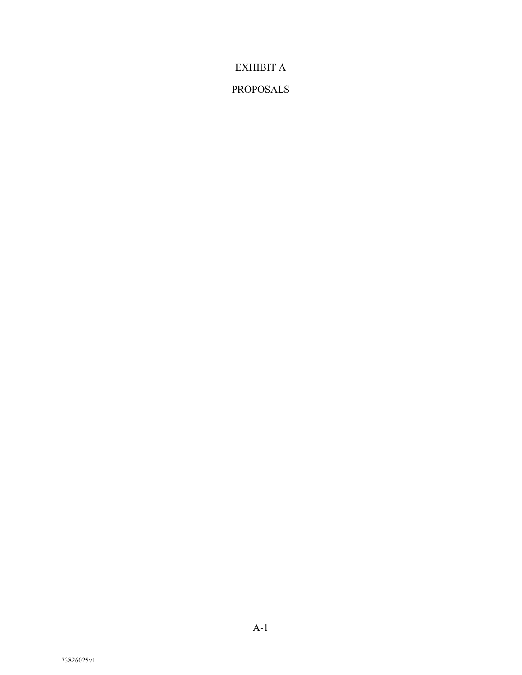EXHIBIT A

# PROPOSALS